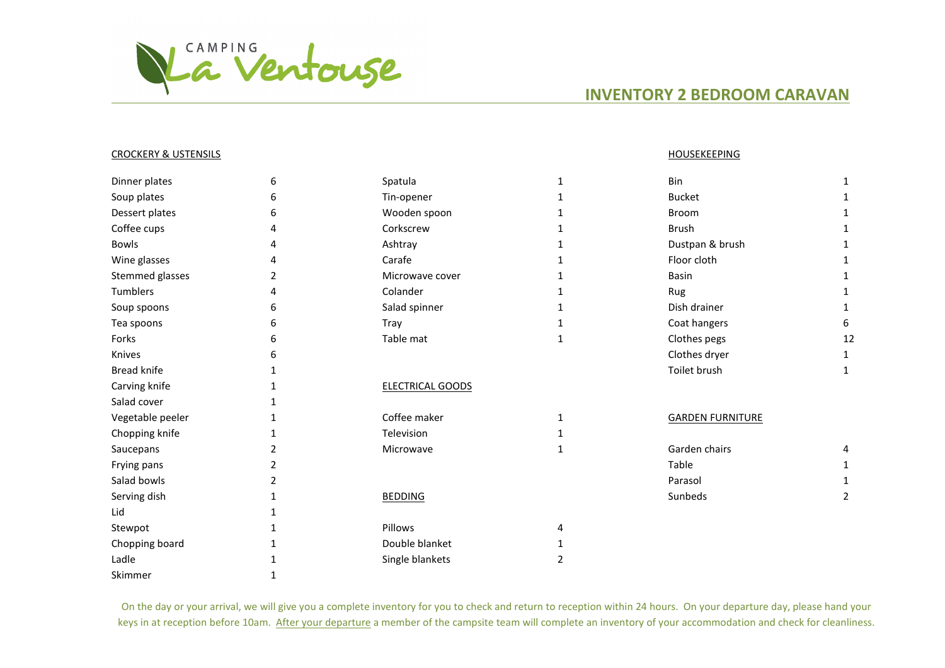

## **INVENTORY 2 BEDROOM CARAVAN**

## CROCKERY & USTENSILS HOUSEKEEPING

| Dinner plates      | 6 | Spatula                 |              | Bin                     | 1  |
|--------------------|---|-------------------------|--------------|-------------------------|----|
| Soup plates        | 6 | Tin-opener              |              | <b>Bucket</b>           |    |
| Dessert plates     | 6 | Wooden spoon            |              | <b>Broom</b>            | 1  |
| Coffee cups        | 4 | Corkscrew               |              | <b>Brush</b>            | 1  |
| <b>Bowls</b>       |   | Ashtray                 |              | Dustpan & brush         |    |
| Wine glasses       |   | Carafe                  |              | Floor cloth             |    |
| Stemmed glasses    | 2 | Microwave cover         |              | <b>Basin</b>            |    |
| Tumblers           | 4 | Colander                |              | Rug                     |    |
| Soup spoons        | 6 | Salad spinner           |              | Dish drainer            |    |
| Tea spoons         | 6 | Tray                    |              | Coat hangers            | 6  |
| Forks              | 6 | Table mat               | 1            | Clothes pegs            | 12 |
| Knives             | 6 |                         |              | Clothes dryer           | 1  |
| <b>Bread knife</b> |   |                         |              | Toilet brush            | 1  |
| Carving knife      |   | <b>ELECTRICAL GOODS</b> |              |                         |    |
| Salad cover        |   |                         |              |                         |    |
| Vegetable peeler   |   | Coffee maker            |              | <b>GARDEN FURNITURE</b> |    |
| Chopping knife     |   | Television              |              |                         |    |
| Saucepans          | 2 | Microwave               | $\mathbf{1}$ | Garden chairs           | 4  |
| Frying pans        |   |                         |              | Table                   |    |
| Salad bowls        |   |                         |              | Parasol                 |    |
| Serving dish       |   | <b>BEDDING</b>          |              | Sunbeds                 | 2  |
| Lid                |   |                         |              |                         |    |
| Stewpot            |   | Pillows                 | 4            |                         |    |
| Chopping board     |   | Double blanket          |              |                         |    |
| Ladle              |   | Single blankets         | 2            |                         |    |
| Skimmer            |   |                         |              |                         |    |

On the day or your arrival, we will give you a complete inventory for you to check and return to reception within 24 hours. On your departure day, please hand your keys in at reception before 10am. After your departure a member of the campsite team will complete an inventory of your accommodation and check for cleanliness.